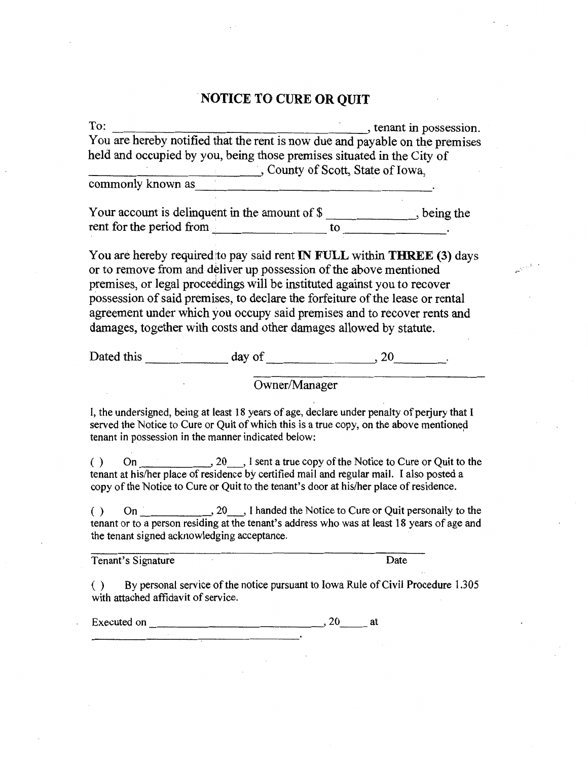# . **NOTICE TO CURE OR QUIT**

| To:                                                                                                                                                                                                                                          |               | , tenant in possession. |
|----------------------------------------------------------------------------------------------------------------------------------------------------------------------------------------------------------------------------------------------|---------------|-------------------------|
| You are hereby notified that the rent is now due and payable on the premises                                                                                                                                                                 |               |                         |
| held and occupied by you, being those premises situated in the City of                                                                                                                                                                       |               |                         |
|                                                                                                                                                                                                                                              |               |                         |
| County of Scott, State of Iowa,                                                                                                                                                                                                              |               |                         |
|                                                                                                                                                                                                                                              |               |                         |
|                                                                                                                                                                                                                                              |               |                         |
| Your account is delinquent in the amount of $\frac{1}{2}$ being the rent for the period from                                                                                                                                                 |               |                         |
|                                                                                                                                                                                                                                              |               |                         |
| You are hereby required to pay said rent <b>IN FULL</b> within <b>THREE</b> (3) days                                                                                                                                                         |               |                         |
| or to remove from and deliver up possession of the above mentioned                                                                                                                                                                           |               |                         |
| premises, or legal proceedings will be instituted against you to recover                                                                                                                                                                     |               |                         |
| possession of said premises, to declare the forfeiture of the lease or rental                                                                                                                                                                |               |                         |
| agreement under which you occupy said premises and to recover rents and                                                                                                                                                                      |               |                         |
| damages, together with costs and other damages allowed by statute.                                                                                                                                                                           |               |                         |
|                                                                                                                                                                                                                                              |               |                         |
| Dated this day of 30 and 30 application of 30 application of 30 application of 30 application of 30 application of 30 application of 30 application of 30 application of 30 application of 30 application of 30 application of               |               |                         |
|                                                                                                                                                                                                                                              |               |                         |
|                                                                                                                                                                                                                                              | Owner/Manager |                         |
| I, the undersigned, being at least 18 years of age, declare under penalty of perjury that I<br>served the Notice to Cure or Quit of which this is a true copy, on the above mentioned<br>tenant in possession in the manner indicated below: |               |                         |
| tenant at his/her place of residence by certified mail and regular mail. I also posted a<br>copy of the Notice to Cure or Quit to the tenant's door at his/her place of residence.                                                           |               |                         |
| ( )<br>tenant or to a person residing at the tenant's address who was at least 18 years of age and<br>the tenant signed acknowledging acceptance.                                                                                            |               |                         |
| Tenant's Signature                                                                                                                                                                                                                           |               | Date                    |
|                                                                                                                                                                                                                                              |               |                         |
| By personal service of the notice pursuant to Iowa Rule of Civil Procedure 1.305<br>with attached affidavit of service.                                                                                                                      |               |                         |
| Executed on                                                                                                                                                                                                                                  | , 20<br>at    |                         |

Executed on 20 ------------~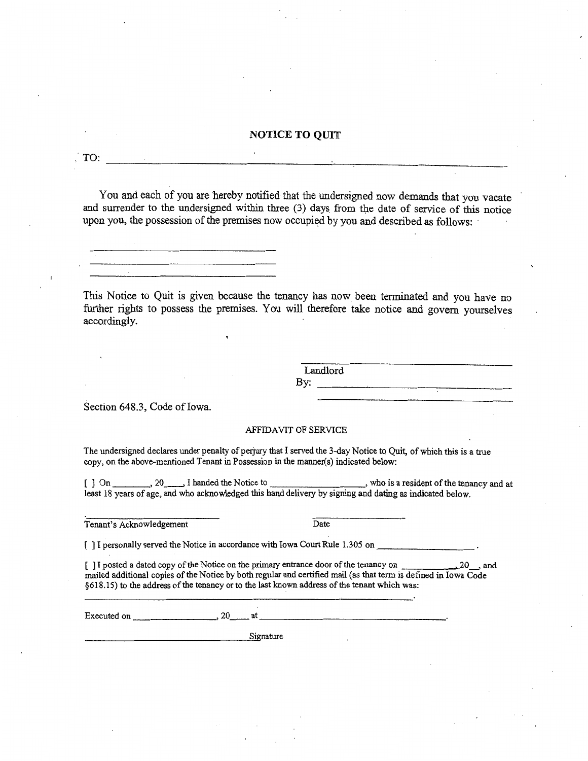#### **NOTICE TO QUIT**

You and each of you are hereby notified that the undersigned now demands that you vacate and surrender to the undersigned within three (3) days\_ from the date of service of this notice upon you, the possession of the premises now occupied by you and described as follows:

This Notice to Quit is given because the tenancy has now been terminated and you have no

further rights to possess the premises. You will therefore take notice and govern yourselves accordingly.

> Landlord<br>By: By: ----~------------

Section 648.3, Code of Iowa.

#### AFFIDAVIT OF SERVICE

The undersigned declares under penalty of perjury that I served the 3-day Notice to Quit, of which this is a true copy, on the above-mentioned Tenant in Possession in the manner(s) indicated below:

[ ] On \_\_\_\_\_\_\_\_\_, 20\_\_\_\_\_, I handed the Notice to \_\_\_\_\_\_\_\_\_\_\_\_\_\_\_\_\_\_\_\_\_\_\_, who is a resident of the tenancy and at least 18 years of age, and who acknowledged this hand delivery by signing and dating as indicated below.

Tenant's Acknowledgement Date

[ ] I personally served the Notice in accordance with Iowa Court Rule 1.305 on \_\_\_\_

[ ] I posted a dated copy of the Notice on the primary entrance door of the tenancy on \_\_\_\_\_ 20\_, and mailed additional copies of the Notice by both regular and certified mail (as that term is defined in Iowa Code §618.15) to the address of the tenancy or to the last known address of the tenant which was:

Executed on  $\qquad \qquad \qquad .20$  at

--------------~S=<>i nature

TO: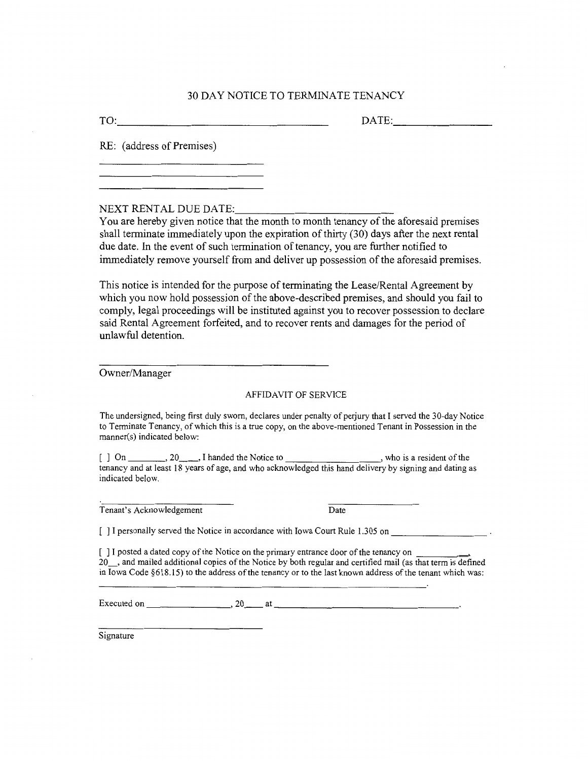#### 30 DAY NOTICE TO TERMINATE TENANCY

TO: ------------------- DATE: \_\_\_\_\_\_ \_

RE: ( address of Premises)

NEXT RENTAL DUE DATE:

You are hereby given notice that the month to month tenancy of the aforesaid premises shall terminate immediately upon the expiration of thirty (30) days after the next rental due date. In the event of such termination of tenancy, you are further notified to immediately remove yourself from and deliver up possession of the aforesaid premises.

This notice is intended for the purpose of terminating the Lease/Rental Agreement by which you now hold possession of the above-described premises, and should you fail to comply, legal proceedings will be instituted against you to recover possession to declare said Rental Agreement forfeited, and to recover rents and damages for the period of unlawful detention.

Owner/Manager

#### AFFIDAVIT OF SERVICE

The undersigned, being first duly sworn, declares under penalty of perjury that I served the 30-day Notice to Terminate Tenancy, of which this is a true copy, on the above-mentioned Tenant in Possession in the manner(s) indicated below:

 $[$ ] On  $[$   $]$  On  $[$   $]$   $]$   $\in$   $[$ tenancy and at least 18 years of age, and who acknowledged this hand delivery by signing and dating as indicated below.

Tenant's Acknowledgement Date

[ ] I personally served the Notice in accordance with Iowa Court Rule 1.305 on

[ ] I posted a dated copy of the Notice on the primary entrance door of the tenancy on 20\_, and mailed additional copies of the Notice by both regular and certified mail (as that term is defined in Iowa Code §618.15) to the address of the tenancy or to the last known address of the tenant which was:

Executed on  $\_\_\_\_\_\_$ ,  $20\_\_\_\_$  at  $\_\_\_\_\_\_\_\_\_$ 

Signature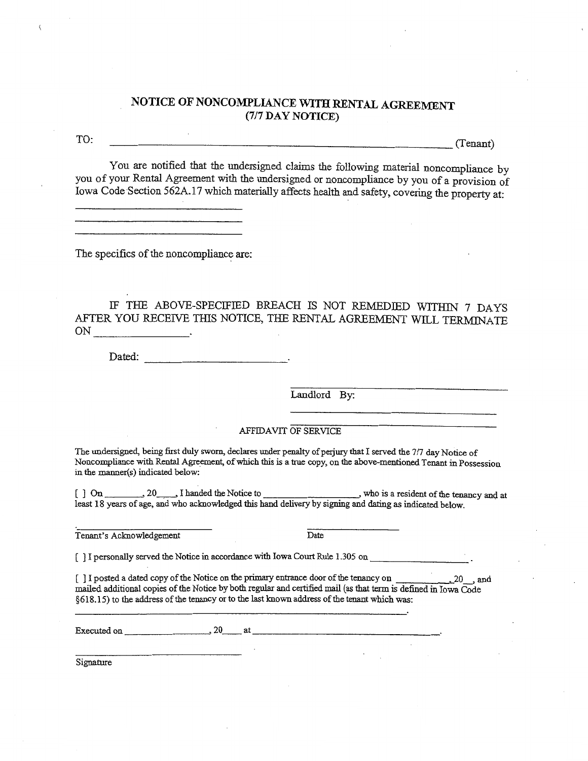## **NOTICE OF NONCOMPLIANCE WITH RENTAL AGREEMENT**  (7/7 **DAY NOTICE)**

 $TO:$   $T0:$   $(Tenant)$ 

You are notified that the undersigned claims the following material noncompliance by you of your Rental Agreement with the undersigned or noncompliance by you of a provision of Iowa Code Section 562A.l 7 which materially affects health and safety, covering the property at:

The specifics of the noncompliance are:

IF THE ABOVE-SPECIFIED BREACH IS NOT REMEDIED WITHIN 7 DAYS AFTER YOU RECEIVE THIS NOTICE, THE RENTAL AGREEMENT WILL TERMJNATE ON \_\_\_\_\_\_ \_

Dated:

Landlord By:

AFFIDAVIT OF SERVICE

The undersigned, being first duly sworn, declares under penalty of perjury that I served the 7/7 day Notice of Noncompliance with Rental Agreement, of which this is a true copy, on the above-mentioned Tenant in Possession in the manner(s) indicated below:

[ ] On \_\_\_\_\_\_\_\_\_, 20\_\_\_\_\_, I handed the Notice to \_\_\_\_\_\_\_\_\_\_\_\_\_\_\_\_, who is a resident of the tenancy and at least 18 years of age, and who acknowledged this hand delivery by signing and dating as indicated below.

Tenant's Acknowledgement Date

[ ] I personally served the Notice in accordance with Iowa Court Rule 1.305 on

[ ] I posted a dated copy of the Notice on the primary entrance door of the tenancy on  $\sim$ , 20 , and mailed additional copies of the Notice by both regular and certified mail (as that term is defined in Iowa Code §618.15) to the address of the tenancy or to the last known address of the tenant which was:

Executed on  $\frac{20}{\pi}$  at  $\frac{20}{\pi}$ 

Signature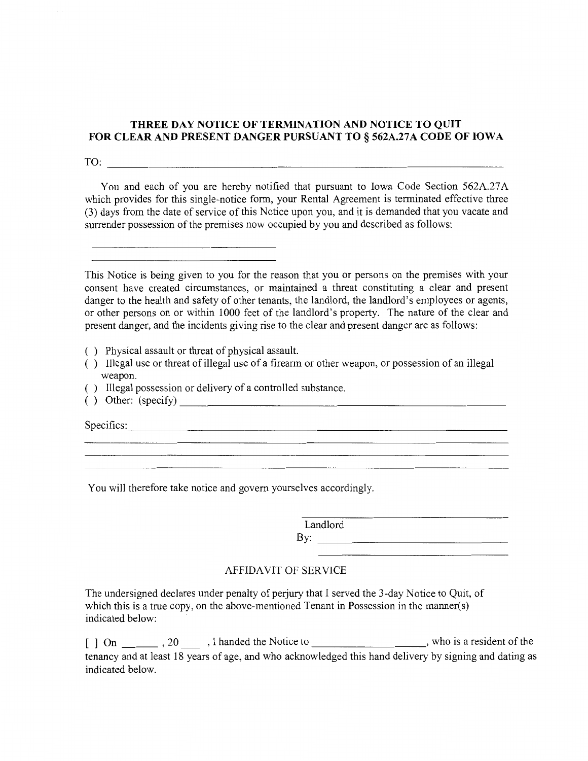#### **THREE DAY NOTICE OF TERMINATION AND NOTICE TO QUIT FOR CLEAR AND PRESENT DANGER PURSUANT TO§ 562A.27A CODE OF IOWA**

 $TO:$ 

You and each of you are hereby notified that pursuant to Iowa Code Section 562A.27A which provides for this single-notice form, your Rental Agreement is terminated effective three (3) days from the date of service of this Notice upon you, and it is demanded that you vacate and surrender possession of the premises now occupied by you and described as follows:

This Notice is being given to you for the reason that you or persons on the premises with your consent have created circumstances, or maintained a threat constituting a clear and present danger to the health and safety of other tenants, the landlord, the landlord's employees or agents, or other persons on or within 1000 feet of the landlord's property. The nature of the clear and present danger, and the incidents giving rise to the clear and present danger are as follows:

( ) Physical assault or threat of physical assault.

- ( ) Illegal use or threat of illegal use of a firearm or other weapon, or possession of an illegal weapon.
- ( ) Illegal possession or delivery of a controlled substance.
- ( ) Other: (specify) \_\_\_\_\_\_\_\_\_\_\_\_\_\_\_\_\_\_\_\_\_\_\_ \_

Specifics: --------------------------------

You will therefore take notice and govern yourselves accordingly.

Landlord

By:  $\qquad \qquad$ 

## AFFIDAVIT OF SERVICE

The undersigned declares under penalty of perjury that I served the 3-day Notice to Quit, of which this is a true copy, on the above-mentioned Tenant in Possession in the manner(s) indicated below:

[] On \_\_\_\_\_\_\_\_, 20 \_\_\_\_\_\_, I handed the Notice to \_\_\_\_\_\_\_\_\_\_\_\_\_\_\_\_\_\_\_\_, who is a resident of the tenancy and at least 18 years of age, and who acknowledged this hand delivery by signing and dating as indicated below.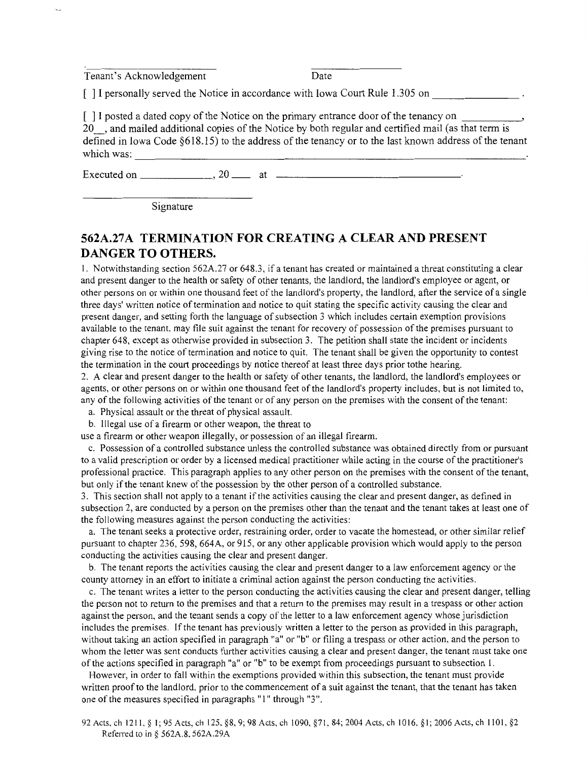Tenant's Acknowledgement Date

[] I personally served the Notice in accordance with Iowa Court Rule 1.305 on

] I posted a dated copy of the Notice on the primary entrance door of the tenancy on 20. and mailed additional copies of the Notice by both regular and certified mail (as that term is defined in Iowa Code §618.15) to the address of the tenancy or to the last known address of the tenant which was:

Executed on  $\frac{20}{\text{cm}}$ , 20  $\frac{20}{\text{cm}}$  at  $\frac{20}{\text{cm}}$ 

Signature

## **562A.27A TERMINATION FOR CREATING A CLEAR AND PRESENT DANGER TO OTHERS.**

I. Notwithstanding section 562A.27 or 648.3, if a tenant has created or maintained a threat constituting a clear and present danger to the health or safety of other tenants, the landlord, the landlord's employee or agent, or other persons on or within one thousand feet of the landlord's property, the landlord, after the service of a single three days' written notice of termination and notice to quit stating the specific activity causing the clear and present danger, and setting forth the language of subsection 3 which includes certain exemption provisions available to the tenant. may file suit against the tenant for recovery of possession of the premises pursuant to chapter 648, except as otherwise provided in subsection 3. The petition shall state the incident or incidents giving rise to the notice of termination and notice to quit. The tenant shall be given the opportunity to contest the termination in the court proceedings by notice thereof at least three days prior tothe hearing.

2. A clear and present danger to the health or safety of other tenants, the landlord, the landlord's employees or agents, or other persons on or within one thousand feet of the landlord's property includes, but is not limited to, any of the following activities of the tenant or of any person on the premises with the consent of the tenant:

- a. Physical assault or the threat of physical assault.
- b. Illegal use of a firearm or other weapon, the threat to

use a firearm or other weapon illegally, or possession of an illegal firearm.

c. Possession of a controlled substance unless the controlled substance was obtained directly from or pursuant to a valid prescription or order by a licensed medical practitioner while acting in the course of the practitioner's professional practice. This paragraph applies to any other person on the premises with the consent of the tenant, but only if the tenant knew of the possession by the other person of a controlled substance.

3. This section shall not apply to a tenant if the activities causing the clear and present danger, as defined in subsection 2, are conducted by a person on the premises other than the tenant and the tenant takes at least one of the following measures against the person conducting the activities:

a. The tenant seeks a protective order, restraining order, order to vacate the homestead, or other similar relief pursuant to chapter 236, 598, 664A, or 915, or any other applicable provision which would apply to the person conducting the activities causing the clear and present danger.

b. The tenant reports the activities causing the clear and present danger to a law enforcement agency or the county attorney in an effort to initiate a criminal action against the person conducting the activities.

c. The tenant writes a letter to the person conducting the activities causing the clear and present danger, telling the person not to return to the premises and that a return to the premises may result in a trespass or other action against the person, and the tenant sends a copy of the letter to a law enforcement agency whose jurisdiction includes the premises. If the tenant has previously written a letter to the person as provided in this paragraph, without taking an action specified in paragraph "a" or "b" or filing a trespass or other action, and the person to whom the letter was sent conducts further activities causing a clear and present danger, the tenant must take one of the actions specified in paragraph "a" or "b" to be exempt from proceedings pursuant to subsection I.

However, in order to fall within the exemptions provided within this subsection, the tenant must provide written proof to the landlord, prior to the commencement of a suit against the tenant, that the tenant has taken one of the measures specified in paragraphs "I" through "3 ".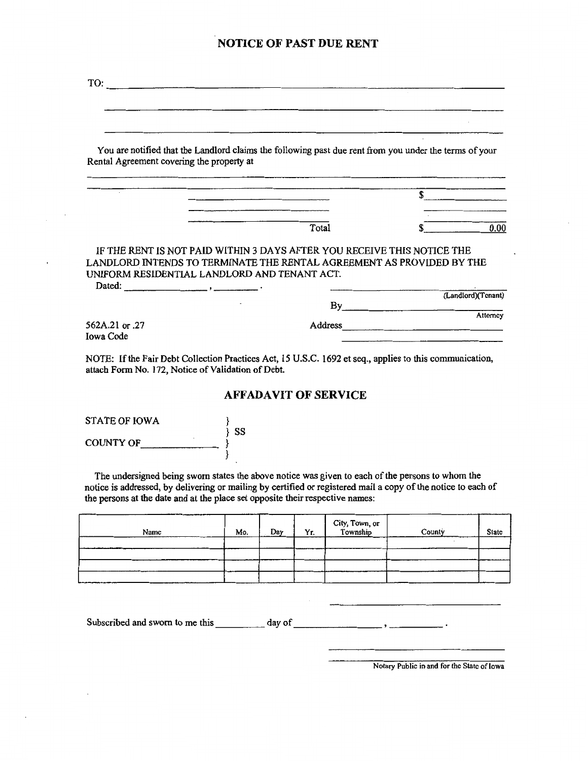#### **NOTICE OF PAST DUE RENT**

| TO:                                       | <u> 1980 - Johann Harry Harry Harry Harry Harry Harry Harry Harry Harry Harry Harry Harry Harry Harry Harry Harry H</u> |                                                                                                                                                                                                                                      |
|-------------------------------------------|-------------------------------------------------------------------------------------------------------------------------|--------------------------------------------------------------------------------------------------------------------------------------------------------------------------------------------------------------------------------------|
|                                           |                                                                                                                         |                                                                                                                                                                                                                                      |
|                                           |                                                                                                                         |                                                                                                                                                                                                                                      |
|                                           | You are notified that the Landlord claims the following past due rent from you under the terms of your                  |                                                                                                                                                                                                                                      |
| Rental Agreement covering the property at |                                                                                                                         |                                                                                                                                                                                                                                      |
|                                           |                                                                                                                         |                                                                                                                                                                                                                                      |
|                                           |                                                                                                                         |                                                                                                                                                                                                                                      |
|                                           |                                                                                                                         |                                                                                                                                                                                                                                      |
|                                           | Total                                                                                                                   | 0.00                                                                                                                                                                                                                                 |
|                                           | IF THE RENT IS NOT PAID WITHIN 3 DAYS AFTER YOU RECEIVE THIS NOTICE THE                                                 |                                                                                                                                                                                                                                      |
|                                           | LANDLORD INTENDS TO TERMINATE THE RENTAL AGREEMENT AS PROVIDED BY THE                                                   |                                                                                                                                                                                                                                      |
| Dated: $\qquad \qquad$                    | UNIFORM RESIDENTIAL LANDLORD AND TENANT ACT.                                                                            |                                                                                                                                                                                                                                      |
|                                           | By                                                                                                                      | (Landlord)(Tenant)                                                                                                                                                                                                                   |
|                                           |                                                                                                                         | Attorney                                                                                                                                                                                                                             |
| 562A.21 or .27<br>Iowa Code               | Address                                                                                                                 | <u> 1988 - John Harry John Harry John Harry John Harry John Harry John Harry John Harry John Harry John Harry John Harry John Harry John Harry John Harry John Harry John Harry John Harry John Harry John Harry John Harry John</u> |
|                                           |                                                                                                                         |                                                                                                                                                                                                                                      |

NOTE: If the Fair Debt Collection Practices Act, 15 U.S.C. 1692 et seq., applies to this communication, attach Form No. 172, Notice of Validation of Debt.

#### **AFFADAVIT OF SERVICE**

| STATE OF IOWA         | SS |
|-----------------------|----|
| ٠<br><b>COUNTY OF</b> |    |

The undersigned being sworn states the above notice was given to each of the persons to whom the notice is addressed, by delivering or mailing by certified or registered mail a copy of the notice to each of the persons at the date and at the place set opposite their respective names:

| المتاريخ الانتقال فبالمقارن المتناسبات المتناسبات<br>Name | ------<br>Mo. | Day | Yr. | City, Town, or<br>I Township | County | State |
|-----------------------------------------------------------|---------------|-----|-----|------------------------------|--------|-------|
|                                                           |               |     |     |                              |        |       |
|                                                           | ----          |     |     |                              |        |       |
|                                                           |               |     |     |                              |        |       |
|                                                           |               |     |     |                              |        |       |

Subscribed and sworn to me this  $\frac{1}{\sqrt{1-\frac{1}{n}}}\cdot\frac{1}{\sqrt{1-\frac{1}{n}}}\cdot\frac{1}{\sqrt{1-\frac{1}{n}}}\cdot\frac{1}{\sqrt{1-\frac{1}{n}}}\cdot\frac{1}{\sqrt{1-\frac{1}{n}}}\cdot\frac{1}{\sqrt{1-\frac{1}{n}}}\cdot\frac{1}{\sqrt{1-\frac{1}{n}}}\cdot\frac{1}{\sqrt{1-\frac{1}{n}}}\cdot\frac{1}{\sqrt{1-\frac{1}{n}}}\cdot\frac{1}{\sqrt{1-\frac{1}{n}}}\cdot\frac{1}{\sqrt{$ 

Notary Public in and for the State of Iowa